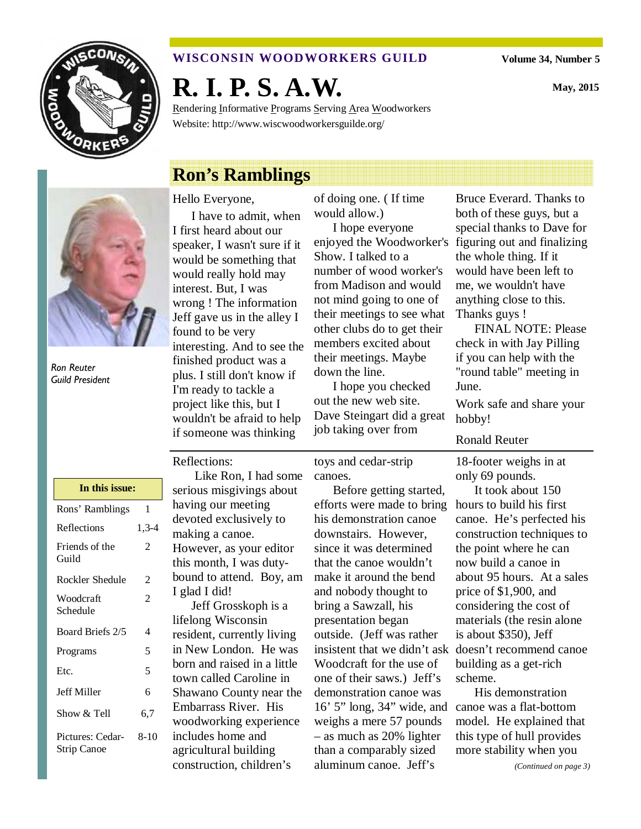

### **WISCONSIN WOODWORKERS GUILD**

**Volume 34, Number 5** 

**May, 2015** 

**R. I. P. S. A.W.** 

Rendering Informative Programs Serving Area Woodworkers Website: http://www.wiscwoodworkersguilde.org/

# **Ron's Ramblings**



Ron Reuter Guild President

#### Hello Everyone,

I have to admit, when I first heard about our speaker, I wasn't sure if it would be something that would really hold may interest. But, I was wrong ! The information Jeff gave us in the alley I found to be very interesting. And to see the finished product was a plus. I still don't know if I'm ready to tackle a project like this, but I wouldn't be afraid to help if someone was thinking

of doing one. ( If time would allow.)

I hope everyone enjoyed the Woodworker's figuring out and finalizing Show. I talked to a number of wood worker's from Madison and would not mind going to one of their meetings to see what other clubs do to get their members excited about their meetings. Maybe down the line.

I hope you checked out the new web site. Dave Steingart did a great job taking over from

Bruce Everard. Thanks to both of these guys, but a special thanks to Dave for the whole thing. If it would have been left to me, we wouldn't have anything close to this. Thanks guys !

FINAL NOTE: Please check in with Jay Pilling if you can help with the "round table" meeting in June.

Work safe and share your hobby!

#### Ronald Reuter

18-footer weighs in at only 69 pounds.

insistent that we didn't ask doesn't recommend canoe It took about 150 hours to build his first canoe. He's perfected his construction techniques to the point where he can now build a canoe in about 95 hours. At a sales price of \$1,900, and considering the cost of materials (the resin alone is about \$350), Jeff building as a get-rich scheme.

His demonstration canoe was a flat-bottom model. He explained that this type of hull provides more stability when you

Reflections:

| In this issue:                  |        |  |
|---------------------------------|--------|--|
| Rons' Ramblings                 | 1      |  |
| Reflections                     | 1,3-4  |  |
| Friends of the<br>Guild         | 2      |  |
| Rockler Shedule                 | 2      |  |
| Woodcraft<br>Schedule           | 2      |  |
| Board Briefs 2/5                | 4      |  |
| Programs                        | 5      |  |
| Etc.                            | 5      |  |
| <b>Jeff Miller</b>              | 6      |  |
| Show & Tell                     | 6.7    |  |
| Pictures: Cedar-<br>Strip Canoe | $8-10$ |  |

 Like Ron, I had some serious misgivings about having our meeting devoted exclusively to making a canoe. However, as your editor this month, I was dutybound to attend. Boy, am I glad I did!

Jeff Grosskoph is a lifelong Wisconsin resident, currently living in New London. He was born and raised in a little town called Caroline in Shawano County near the Embarrass River. His woodworking experience includes home and agricultural building construction, children's

toys and cedar-strip canoes.

Before getting started, efforts were made to bring his demonstration canoe downstairs. However, since it was determined that the canoe wouldn't make it around the bend and nobody thought to bring a Sawzall, his presentation began outside. (Jeff was rather Woodcraft for the use of one of their saws.) Jeff's demonstration canoe was 16' 5" long, 34" wide, and weighs a mere 57 pounds – as much as 20% lighter than a comparably sized aluminum canoe. Jeff's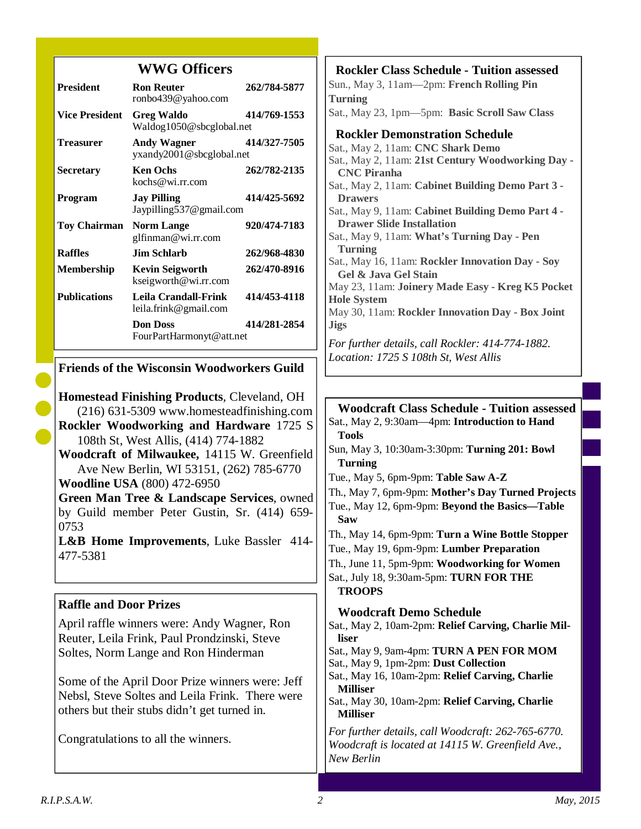# **WWG Officers**

| <b>President</b>      | <b>Ron Reuter</b><br>ronbo439@yahoo.com        | 262/784-5877 |
|-----------------------|------------------------------------------------|--------------|
| <b>Vice President</b> | <b>Greg Waldo</b><br>Waldog1050@sbcglobal.net  | 414/769-1553 |
| Treasurer             | Andy Wagner<br>yxandy2001@sbcglobal.net        | 414/327-7505 |
| <b>Secretary</b>      | <b>Ken Ochs</b><br>kochs@wi.rr.com             | 262/782-2135 |
| Program               | <b>Jay Pilling</b><br>Jaypilling 537@gmail.com | 414/425-5692 |
| <b>Toy Chairman</b>   | <b>Norm Lange</b><br>glfinman@wi.rr.com        | 920/474-7183 |
| <b>Raffles</b>        | Jim Schlarb.                                   | 262/968-4830 |
| <b>Membership</b>     | <b>Kevin Seigworth</b><br>kseigworth@wi.rr.com | 262/470-8916 |
| <b>Publications</b>   | Leila Crandall-Frink<br>leila.frink@gmail.com  | 414/453-4118 |
|                       | <b>Don Doss</b><br>FourPartHarmonyt@att.net    | 414/281-2854 |

# **Friends of the Wisconsin Woodworkers Guild**

**Homestead Finishing Products**, Cleveland, OH (216) 631-5309 www.homesteadfinishing.com **Rockler Woodworking and Hardware** 1725 S 108th St, West Allis, (414) 774-1882 **Woodcraft of Milwaukee,** 14115 W. Greenfield Ave New Berlin, WI 53151, (262) 785-6770 **Woodline USA** (800) 472-6950

**Green Man Tree & Landscape Services**, owned by Guild member Peter Gustin, Sr. (414) 659- 0753

**L&B Home Improvements**, Luke Bassler 414- 477-5381

# **Raffle and Door Prizes**

April raffle winners were: Andy Wagner, Ron Reuter, Leila Frink, Paul Prondzinski, Steve Soltes, Norm Lange and Ron Hinderman

Some of the April Door Prize winners were: Jeff Nebsl, Steve Soltes and Leila Frink. There were others but their stubs didn't get turned in.

Congratulations to all the winners.

**Rockler Class Schedule - Tuition assessed** Sun., May 3, 11am—2pm: **French Rolling Pin Turning** Sat., May 23, 1pm—5pm: **Basic Scroll Saw Class Rockler Demonstration Schedule**  Sat., May 2, 11am: **CNC Shark Demo**  Sat., May 2, 11am: **21st Century Woodworking Day - CNC Piranha** Sat., May 2, 11am: **Cabinet Building Demo Part 3 - Drawers**  Sat., May 9, 11am: **Cabinet Building Demo Part 4 - Drawer Slide Installation**  Sat., May 9, 11am: **What's Turning Day - Pen Turning**  Sat., May 16, 11am: **Rockler Innovation Day - Soy Gel & Java Gel Stain**  May 23, 11am: **Joinery Made Easy - Kreg K5 Pocket Hole System**  May 30, 11am: **Rockler Innovation Day - Box Joint Jigs**  *For further details, call Rockler: 414-774-1882. Location: 1725 S 108th St, West Allis* 

**Woodcraft Class Schedule - Tuition assessed** Sat., May 2, 9:30am—4pm: **Introduction to Hand Tools** Sun, May 3, 10:30am-3:30pm: **Turning 201: Bowl Turning** Tue., May 5, 6pm-9pm: **Table Saw A-Z** Th., May 7, 6pm-9pm: **Mother's Day Turned Projects**  Tue., May 12, 6pm-9pm: **Beyond the Basics—Table Saw**  Th., May 14, 6pm-9pm: **Turn a Wine Bottle Stopper**  Tue., May 19, 6pm-9pm: **Lumber Preparation**  Th., June 11, 5pm-9pm: **Woodworking for Women**  Sat., July 18, 9:30am-5pm: **TURN FOR THE TROOPS Woodcraft Demo Schedule** Sat., May 2, 10am-2pm: **Relief Carving, Charlie Milliser**  Sat., May 9, 9am-4pm: **TURN A PEN FOR MOM**  Sat., May 9, 1pm-2pm: **Dust Collection**  Sat., May 16, 10am-2pm: **Relief Carving, Charlie Milliser**  Sat., May 30, 10am-2pm: **Relief Carving, Charlie Milliser**  *For further details, call Woodcraft: 262-765-6770. Woodcraft is located at 14115 W. Greenfield Ave., New Berlin*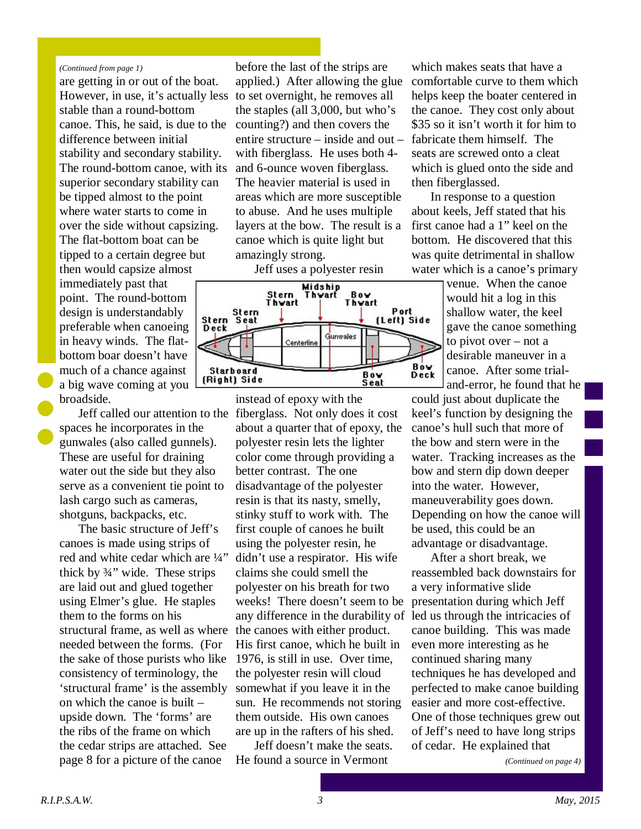#### *(Continued from page 1)*

are getting in or out of the boat. However, in use, it's actually less stable than a round-bottom canoe. This, he said, is due to the difference between initial stability and secondary stability. The round-bottom canoe, with its superior secondary stability can be tipped almost to the point where water starts to come in over the side without capsizing. The flat-bottom boat can be tipped to a certain degree but then would capsize almost immediately past that point. The round-bottom design is understandably preferable when canoeing in heavy winds. The flatbottom boar doesn't have much of a chance against a big wave coming at you broadside.

spaces he incorporates in the gunwales (also called gunnels). These are useful for draining water out the side but they also serve as a convenient tie point to lash cargo such as cameras, shotguns, backpacks, etc.

The basic structure of Jeff's canoes is made using strips of red and white cedar which are ¼" thick by ¾" wide. These strips are laid out and glued together using Elmer's glue. He staples them to the forms on his structural frame, as well as where needed between the forms. (For the sake of those purists who like consistency of terminology, the 'structural frame' is the assembly on which the canoe is built – upside down. The 'forms' are the ribs of the frame on which the cedar strips are attached. See page 8 for a picture of the canoe

before the last of the strips are applied.) After allowing the glue to set overnight, he removes all the staples (all 3,000, but who's counting?) and then covers the entire structure – inside and out – with fiberglass. He uses both 4 and 6-ounce woven fiberglass. The heavier material is used in areas which are more susceptible to abuse. And he uses multiple layers at the bow. The result is a canoe which is quite light but amazingly strong.

Jeff uses a polyester resin



Jeff called our attention to the fiberglass. Not only does it cost instead of epoxy with the about a quarter that of epoxy, the polyester resin lets the lighter color come through providing a better contrast. The one disadvantage of the polyester resin is that its nasty, smelly, stinky stuff to work with. The first couple of canoes he built using the polyester resin, he didn't use a respirator. His wife claims she could smell the polyester on his breath for two weeks! There doesn't seem to be any difference in the durability of led us through the intricacies of the canoes with either product. His first canoe, which he built in 1976, is still in use. Over time, the polyester resin will cloud somewhat if you leave it in the sun. He recommends not storing them outside. His own canoes are up in the rafters of his shed.

> Jeff doesn't make the seats. He found a source in Vermont

which makes seats that have a comfortable curve to them which helps keep the boater centered in the canoe. They cost only about \$35 so it isn't worth it for him to fabricate them himself. The seats are screwed onto a cleat which is glued onto the side and then fiberglassed.

In response to a question about keels, Jeff stated that his first canoe had a 1" keel on the bottom. He discovered that this was quite detrimental in shallow water which is a canoe's primary

> venue. When the canoe would hit a log in this shallow water, the keel gave the canoe something to pivot over – not a desirable maneuver in a canoe. After some trialand-error, he found that he

could just about duplicate the keel's function by designing the canoe's hull such that more of the bow and stern were in the water. Tracking increases as the bow and stern dip down deeper into the water. However, maneuverability goes down. Depending on how the canoe will be used, this could be an advantage or disadvantage.

After a short break, we reassembled back downstairs for a very informative slide presentation during which Jeff canoe building. This was made even more interesting as he continued sharing many techniques he has developed and perfected to make canoe building easier and more cost-effective. One of those techniques grew out of Jeff's need to have long strips of cedar. He explained that

*(Continued on page 4)*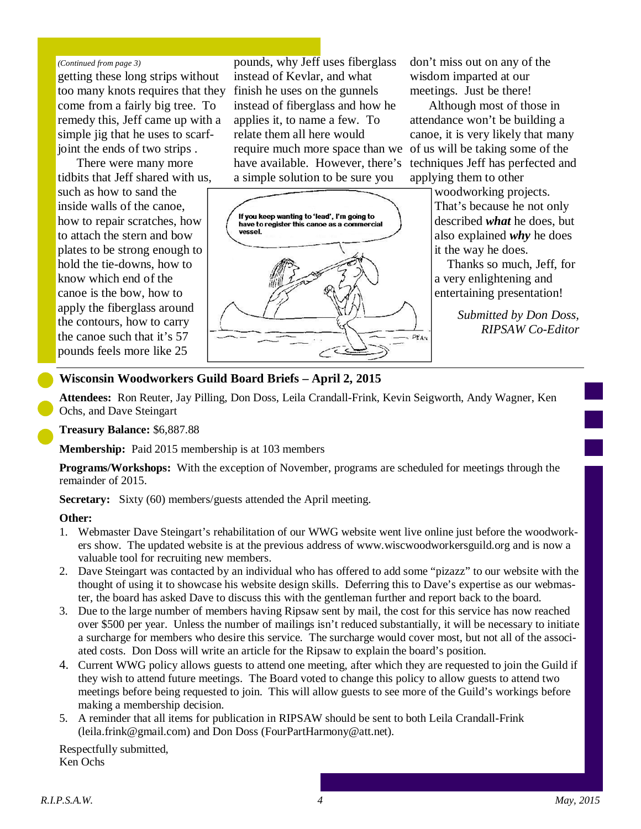#### *(Continued from page 3)*

getting these long strips without too many knots requires that they come from a fairly big tree. To remedy this, Jeff came up with a simple jig that he uses to scarfjoint the ends of two strips .

There were many more tidbits that Jeff shared with us, such as how to sand the inside walls of the canoe, how to repair scratches, how to attach the stern and bow plates to be strong enough to hold the tie-downs, how to know which end of the canoe is the bow, how to apply the fiberglass around the contours, how to carry the canoe such that it's 57 pounds feels more like 25

pounds, why Jeff uses fiberglass instead of Kevlar, and what finish he uses on the gunnels instead of fiberglass and how he applies it, to name a few. To relate them all here would require much more space than we have available. However, there's a simple solution to be sure you



don't miss out on any of the wisdom imparted at our meetings. Just be there!

Although most of those in attendance won't be building a canoe, it is very likely that many of us will be taking some of the techniques Jeff has perfected and applying them to other

> woodworking projects. That's because he not only described *what* he does, but also explained *why* he does it the way he does.

> Thanks so much, Jeff, for a very enlightening and entertaining presentation!

> > *Submitted by Don Doss, RIPSAW Co-Editor*

#### **Wisconsin Woodworkers Guild Board Briefs – April 2, 2015**

**Attendees:** Ron Reuter, Jay Pilling, Don Doss, Leila Crandall-Frink, Kevin Seigworth, Andy Wagner, Ken Ochs, and Dave Steingart

**Treasury Balance:** \$6,887.88

**Membership:** Paid 2015 membership is at 103 members

**Programs/Workshops:** With the exception of November, programs are scheduled for meetings through the remainder of 2015.

**Secretary:** Sixty (60) members/guests attended the April meeting.

#### **Other:**

- 1. Webmaster Dave Steingart's rehabilitation of our WWG website went live online just before the woodworkers show. The updated website is at the previous address of www.wiscwoodworkersguild.org and is now a valuable tool for recruiting new members.
- 2. Dave Steingart was contacted by an individual who has offered to add some "pizazz" to our website with the thought of using it to showcase his website design skills. Deferring this to Dave's expertise as our webmaster, the board has asked Dave to discuss this with the gentleman further and report back to the board.
- 3. Due to the large number of members having Ripsaw sent by mail, the cost for this service has now reached over \$500 per year. Unless the number of mailings isn't reduced substantially, it will be necessary to initiate a surcharge for members who desire this service. The surcharge would cover most, but not all of the associated costs. Don Doss will write an article for the Ripsaw to explain the board's position.
- 4. Current WWG policy allows guests to attend one meeting, after which they are requested to join the Guild if they wish to attend future meetings. The Board voted to change this policy to allow guests to attend two meetings before being requested to join. This will allow guests to see more of the Guild's workings before making a membership decision.
- 5. A reminder that all items for publication in RIPSAW should be sent to both Leila Crandall-Frink (leila.frink@gmail.com) and Don Doss (FourPartHarmony@att.net).

Respectfully submitted, Ken Ochs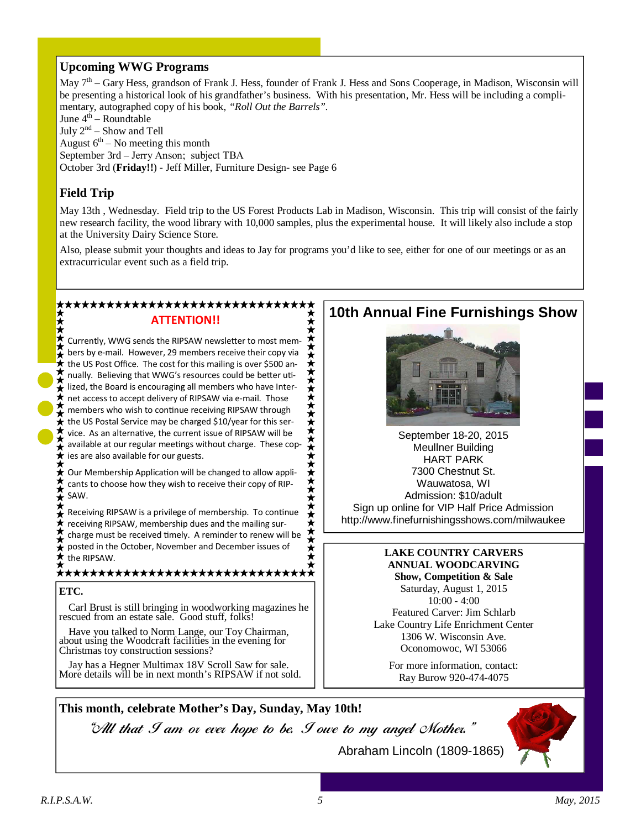### **Upcoming WWG Programs**

May 7<sup>th</sup> – Gary Hess, grandson of Frank J. Hess, founder of Frank J. Hess and Sons Cooperage, in Madison, Wisconsin will be presenting a historical look of his grandfather's business. With his presentation, Mr. Hess will be including a complimentary, autographed copy of his book, *"Roll Out the Barrels".*  June 4<sup>th</sup> – Roundtable July  $2^{nd}$  – Show and Tell August  $6<sup>th</sup>$  – No meeting this month September 3rd – Jerry Anson; subject TBA October 3rd (**Friday!!**) - Jeff Miller, Furniture Design- see Page 6

# **Field Trip**

May 13th , Wednesday. Field trip to the US Forest Products Lab in Madison, Wisconsin. This trip will consist of the fairly new research facility, the wood library with 10,000 samples, plus the experimental house. It will likely also include a stop at the University Dairy Science Store. 

Also, please submit your thoughts and ideas to Jay for programs you'd like to see, either for one of our meetings or as an extracurricular event such as a field trip.

# ATTENTION!!

Currently, WWG sends the RIPSAW newsletter to most mem-\*\*\*\*\*\*\*\*\*\*\*\*\*\*\*\*\*\*\*\*\*\*\*\*\*\*\* bers by e-mail. However, 29 members receive their copy via the US Post Office. The cost for this mailing is over \$500 annually. Believing that WWG's resources could be better uti- $\frac{1}{2}$  lized, the Board is encouraging all members who have Intert net access to accept delivery of RIPSAW via e-mail. Those  $\int$  members who wish to continue receiving RIPSAW through  $\hat{\mathbf{t}}$  the US Postal Service may be charged \$10/year for this service. As an alternative, the current issue of RIPSAW will be  $\blacktriangleright$  available at our regular meetings without charge. These cop- $\star$  ies are also available for our guests.

 $\bigstar$  Our Membership Application will be changed to allow applicants to choose how they wish to receive their copy of RIP-SAW.

Receiving RIPSAW is a privilege of membership. To continue receiving RIPSAW, membership dues and the mailing surcharge must be received timely. A reminder to renew will be posted in the October, November and December issues of  $\star$  posted in the  $\star$  the RIPSAW.

#### \*\*\*\*\*\*\*\*\*\*\*\*\*\*\*\*\*\*\*\*\*\*\*\*\*\*\*\*\*\*\*\*

#### **ETC.**

Carl Brust is still bringing in woodworking magazines he rescued from an estate sale. Good stuff, folks!

Have you talked to Norm Lange, our Toy Chairman, about using the Woodcraft facilities in the evening for Christmas toy construction sessions?

Jay has a Hegner Multimax 18V Scroll Saw for sale. More details will be in next month's RIPSAW if not sold.

# **10th Annual Fine Furnishings Show**



September 18-20, 2015 Meullner Building HART PARK 7300 Chestnut St. Wauwatosa, WI Admission: \$10/adult Sign up online for VIP Half Price Admission http://www.finefurnishingsshows.com/milwaukee

# **LAKE COUNTRY CARVERS ANNUAL WOODCARVING**

**Show, Competition & Sale**  Saturday, August 1, 2015 10:00 - 4:00 Featured Carver: Jim Schlarb Lake Country Life Enrichment Center 1306 W. Wisconsin Ave. Oconomowoc, WI 53066

For more information, contact: Ray Burow 920-474-4075

# **This month, celebrate Mother's Day, Sunday, May 10th!**

"All that I am or ever hope to be. I owe to my angel Mother."

Abraham Lincoln (1809-1865)

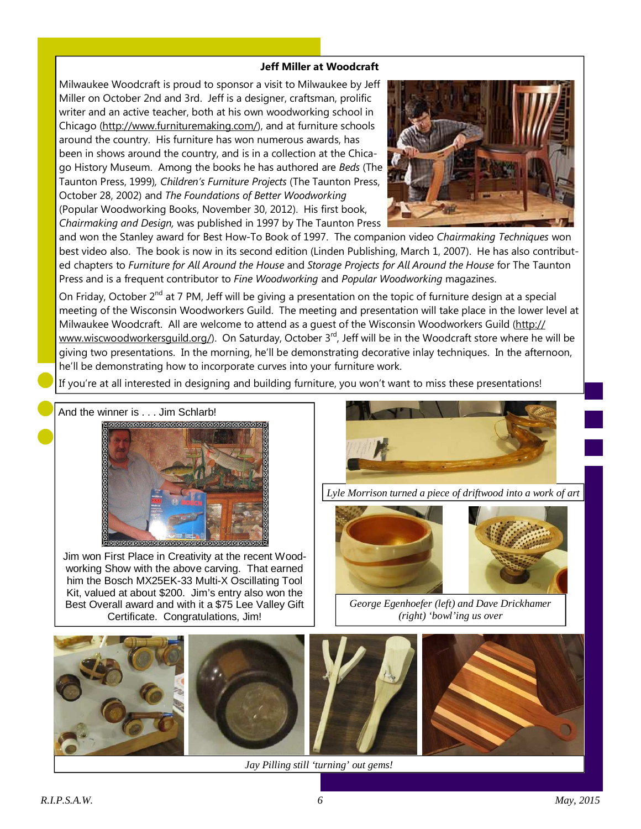#### Jeff Miller at Woodcraft

Milwaukee Woodcraft is proud to sponsor a visit to Milwaukee by Jeff Miller on October 2nd and 3rd. Jeff is a designer, craftsman, prolific writer and an active teacher, both at his own woodworking school in Chicago (http://www.furnituremaking.com/), and at furniture schools around the country. His furniture has won numerous awards, has been in shows around the country, and is in a collection at the Chicago History Museum. Among the books he has authored are Beds (The Taunton Press, 1999), Children's Furniture Projects (The Taunton Press, October 28, 2002) and The Foundations of Better Woodworking (Popular Woodworking Books, November 30, 2012). His first book, Chairmaking and Design, was published in 1997 by The Taunton Press



and won the Stanley award for Best How-To Book of 1997. The companion video Chairmaking Techniques won best video also. The book is now in its second edition (Linden Publishing, March 1, 2007). He has also contributed chapters to Furniture for All Around the House and Storage Projects for All Around the House for The Taunton Press and is a frequent contributor to Fine Woodworking and Popular Woodworking magazines.

On Friday, October 2<sup>nd</sup> at 7 PM, Jeff will be giving a presentation on the topic of furniture design at a special meeting of the Wisconsin Woodworkers Guild. The meeting and presentation will take place in the lower level at Milwaukee Woodcraft. All are welcome to attend as a guest of the Wisconsin Woodworkers Guild (http:// www.wiscwoodworkersguild.org/). On Saturday, October 3<sup>rd</sup>, Jeff will be in the Woodcraft store where he will be giving two presentations. In the morning, he'll be demonstrating decorative inlay techniques. In the afternoon, he'll be demonstrating how to incorporate curves into your furniture work.

If you're at all interested in designing and building furniture, you won't want to miss these presentations!





Jim won First Place in Creativity at the recent Woodworking Show with the above carving. That earned him the Bosch MX25EK-33 Multi-X Oscillating Tool Kit, valued at about \$200. Jim's entry also won the Best Overall award and with it a \$75 Lee Valley Gift Certificate. Congratulations, Jim!



*Lyle Morrison turned a piece of driftwood into a work of art* 



*George Egenhoefer (left) and Dave Drickhamer (right) 'bowl'ing us over* 



*Jay Pilling still 'turning' out gems!*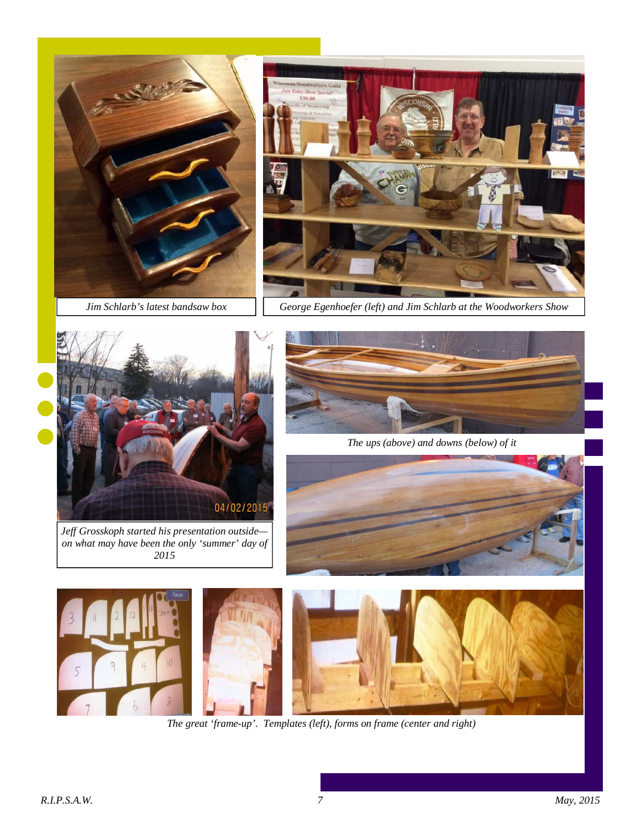

*Jim Schlarb's latest bandsaw box* 



*George Egenhoefer (left) and Jim Schlarb at the Woodworkers Show* 



*Jeff Grosskoph started his presentation outside on what may have been the only 'summer' day of 2015* 



*The ups (above) and downs (below) of it* 





*The great 'frame-up'. Templates (left), forms on frame (center and right)*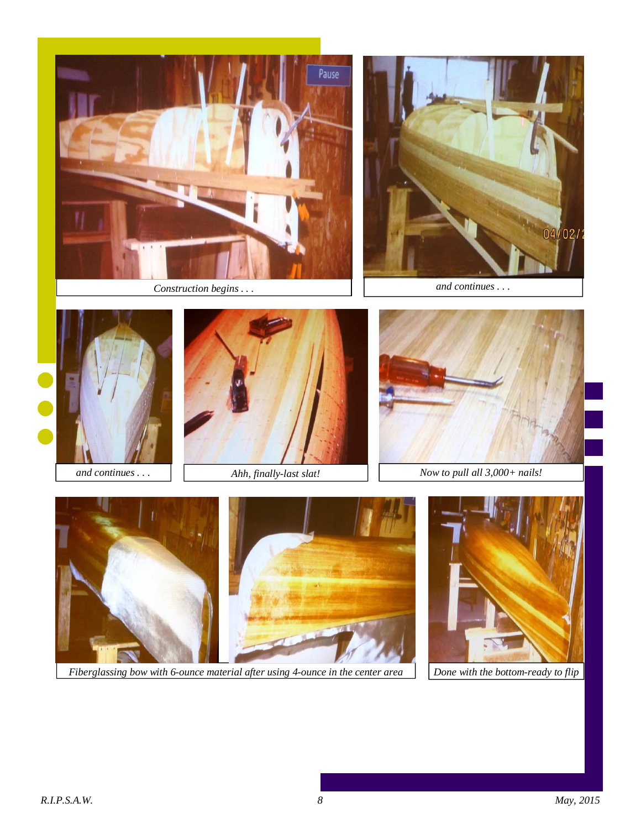

*Construction begins . . .* 









*and continues* . . .  $\begin{vmatrix} \cdot & \cdot & \cdot \\ \cdot & \cdot & \cdot \\ \cdot & \cdot & \cdot \\ \cdot & \cdot & \cdot \\ \cdot & \cdot & \cdot \\ \cdot & \cdot & \cdot \\ \cdot & \cdot & \cdot \\ \cdot & \cdot & \cdot \\ \cdot & \cdot & \cdot \\ \cdot & \cdot & \cdot \\ \cdot & \cdot & \cdot \\ \cdot & \cdot & \cdot \\ \cdot & \cdot & \cdot \\ \cdot & \cdot & \cdot \\ \cdot & \cdot & \cdot \\ \cdot & \cdot & \cdot \\ \cdot & \cdot & \cdot \\ \cdot & \cdot & \cdot \\ \cdot & \cdot & \cdot \\ \cdot & \cdot & \cdot \\ \cdot & \cdot & \cdot \\ \cdot & \$ 



*Fiberglassing bow with 6-ounce material after using 4-ounce in the center area* 

*Done with the bottom-ready to flip*